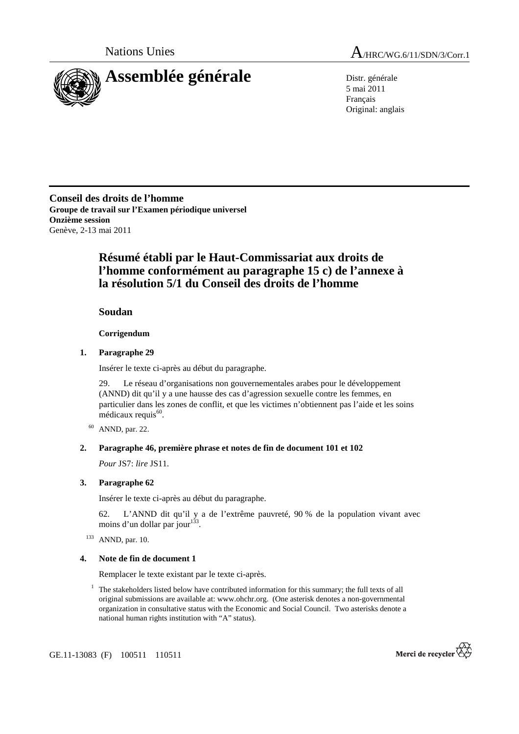

5 mai 2011 Français Original: anglais

**Conseil des droits de l'homme Groupe de travail sur l'Examen périodique universel Onzième session**  Genève, 2-13 mai 2011

# **Résumé établi par le Haut-Commissariat aux droits de l'homme conformément au paragraphe 15 c) de l'annexe à la résolution 5/1 du Conseil des droits de l'homme**

 **Soudan** 

 **Corrigendum** 

## **1. Paragraphe 29**

Insérer le texte ci-après au début du paragraphe.

29. Le réseau d'organisations non gouvernementales arabes pour le développement (ANND) dit qu'il y a une hausse des cas d'agression sexuelle contre les femmes, en particulier dans les zones de conflit, et que les victimes n'obtiennent pas l'aide et les soins  $m$ édicaux requis $^{60}$ .

60 ANND, par. 22.

### **2. Paragraphe 46, première phrase et notes de fin de document 101 et 102**

*Pour* JS7: *lire* JS11.

### **3. Paragraphe 62**

Insérer le texte ci-après au début du paragraphe.

62. L'ANND dit qu'il y a de l'extrême pauvreté, 90 % de la population vivant avec moins d'un dollar par jour $^{133}$ .

<sup>133</sup> ANND, par. 10.

### **4. Note de fin de document 1**

Remplacer le texte existant par le texte ci-après.

<sup>1</sup> The stakeholders listed below have contributed information for this summary; the full texts of all original submissions are available at: www.ohchr.org. (One asterisk denotes a non-governmental organization in consultative status with the Economic and Social Council. Two asterisks denote a national human rights institution with "A" status).



GE.11-13083 (F) 100511 110511